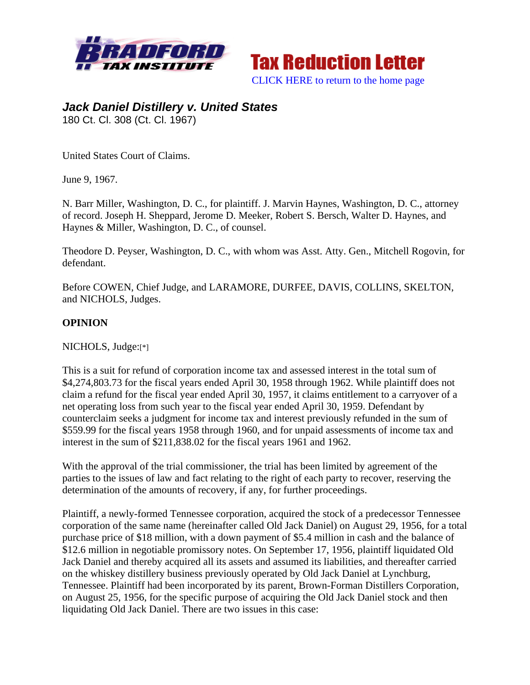



## *Jack Daniel Distillery v. United States*

180 Ct. Cl. 308 (Ct. Cl. 1967)

United States Court of Claims.

June 9, 1967.

N. Barr Miller, Washington, D. C., for plaintiff. J. Marvin Haynes, Washington, D. C., attorney of record. Joseph H. Sheppard, Jerome D. Meeker, Robert S. Bersch, Walter D. Haynes, and Haynes & Miller, Washington, D. C., of counsel.

Theodore D. Peyser, Washington, D. C., with whom was Asst. Atty. Gen., Mitchell Rogovin, for defendant.

Before COWEN, Chief Judge, and LARAMORE, DURFEE, DAVIS, COLLINS, SKELTON, and NICHOLS, Judges.

## **OPINION**

NICHOLS, Judge:[\*]

This is a suit for refund of corporation income tax and assessed interest in the total sum of \$4,274,803.73 for the fiscal years ended April 30, 1958 through 1962. While plaintiff does not claim a refund for the fiscal year ended April 30, 1957, it claims entitlement to a carryover of a net operating loss from such year to the fiscal year ended April 30, 1959. Defendant by counterclaim seeks a judgment for income tax and interest previously refunded in the sum of \$559.99 for the fiscal years 1958 through 1960, and for unpaid assessments of income tax and interest in the sum of \$211,838.02 for the fiscal years 1961 and 1962.

With the approval of the trial commissioner, the trial has been limited by agreement of the parties to the issues of law and fact relating to the right of each party to recover, reserving the determination of the amounts of recovery, if any, for further proceedings.

Plaintiff, a newly-formed Tennessee corporation, acquired the stock of a predecessor Tennessee corporation of the same name (hereinafter called Old Jack Daniel) on August 29, 1956, for a total purchase price of \$18 million, with a down payment of \$5.4 million in cash and the balance of \$12.6 million in negotiable promissory notes. On September 17, 1956, plaintiff liquidated Old Jack Daniel and thereby acquired all its assets and assumed its liabilities, and thereafter carried on the whiskey distillery business previously operated by Old Jack Daniel at Lynchburg, Tennessee. Plaintiff had been incorporated by its parent, Brown-Forman Distillers Corporation, on August 25, 1956, for the specific purpose of acquiring the Old Jack Daniel stock and then liquidating Old Jack Daniel. There are two issues in this case: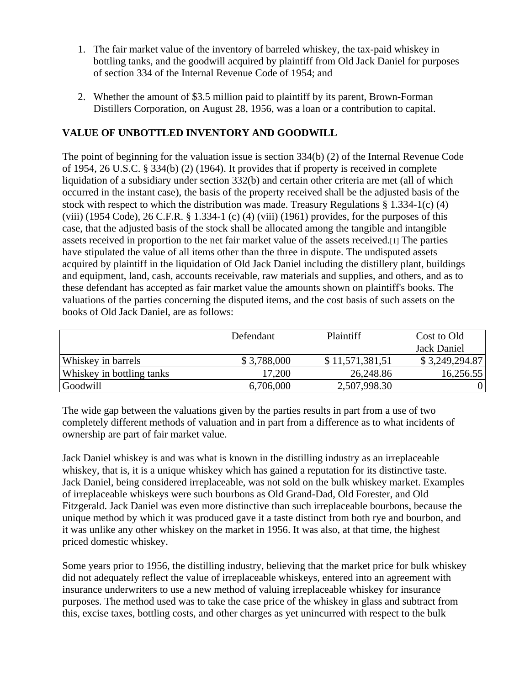- 1. The fair market value of the inventory of barreled whiskey, the tax-paid whiskey in bottling tanks, and the goodwill acquired by plaintiff from Old Jack Daniel for purposes of section 334 of the Internal Revenue Code of 1954; and
- 2. Whether the amount of \$3.5 million paid to plaintiff by its parent, Brown-Forman Distillers Corporation, on August 28, 1956, was a loan or a contribution to capital.

## **VALUE OF UNBOTTLED INVENTORY AND GOODWILL**

The point of beginning for the valuation issue is section 334(b) (2) of the Internal Revenue Code of 1954, 26 U.S.C. § 334(b) (2) (1964). It provides that if property is received in complete liquidation of a subsidiary under section 332(b) and certain other criteria are met (all of which occurred in the instant case), the basis of the property received shall be the adjusted basis of the stock with respect to which the distribution was made. Treasury Regulations § 1.334-1(c) (4) (viii) (1954 Code), 26 C.F.R. § 1.334-1 (c) (4) (viii) (1961) provides, for the purposes of this case, that the adjusted basis of the stock shall be allocated among the tangible and intangible assets received in proportion to the net fair market value of the assets received.[1] The parties have stipulated the value of all items other than the three in dispute. The undisputed assets acquired by plaintiff in the liquidation of Old Jack Daniel including the distillery plant, buildings and equipment, land, cash, accounts receivable, raw materials and supplies, and others, and as to these defendant has accepted as fair market value the amounts shown on plaintiff's books. The valuations of the parties concerning the disputed items, and the cost basis of such assets on the books of Old Jack Daniel, are as follows:

|                           | Defendant   | <b>Plaintiff</b> | Cost to Old    |
|---------------------------|-------------|------------------|----------------|
|                           |             |                  | Jack Daniel    |
| <b>Whiskey in barrels</b> | \$3,788,000 | \$11,571,381,51  | \$3,249,294.87 |
| Whiskey in bottling tanks | 17,200      | 26,248.86        | 16,256.55      |
| Goodwill                  | 6,706,000   | 2,507,998.30     |                |

The wide gap between the valuations given by the parties results in part from a use of two completely different methods of valuation and in part from a difference as to what incidents of ownership are part of fair market value.

Jack Daniel whiskey is and was what is known in the distilling industry as an irreplaceable whiskey, that is, it is a unique whiskey which has gained a reputation for its distinctive taste. Jack Daniel, being considered irreplaceable, was not sold on the bulk whiskey market. Examples of irreplaceable whiskeys were such bourbons as Old Grand-Dad, Old Forester, and Old Fitzgerald. Jack Daniel was even more distinctive than such irreplaceable bourbons, because the unique method by which it was produced gave it a taste distinct from both rye and bourbon, and it was unlike any other whiskey on the market in 1956. It was also, at that time, the highest priced domestic whiskey.

Some years prior to 1956, the distilling industry, believing that the market price for bulk whiskey did not adequately reflect the value of irreplaceable whiskeys, entered into an agreement with insurance underwriters to use a new method of valuing irreplaceable whiskey for insurance purposes. The method used was to take the case price of the whiskey in glass and subtract from this, excise taxes, bottling costs, and other charges as yet unincurred with respect to the bulk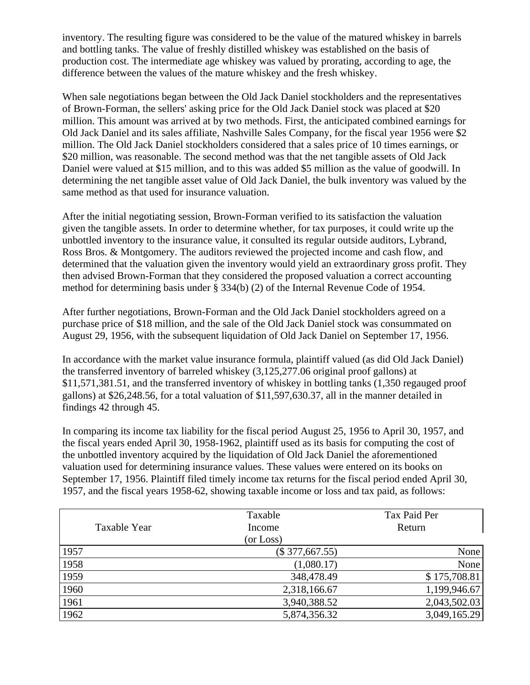inventory. The resulting figure was considered to be the value of the matured whiskey in barrels and bottling tanks. The value of freshly distilled whiskey was established on the basis of production cost. The intermediate age whiskey was valued by prorating, according to age, the difference between the values of the mature whiskey and the fresh whiskey.

When sale negotiations began between the Old Jack Daniel stockholders and the representatives of Brown-Forman, the sellers' asking price for the Old Jack Daniel stock was placed at \$20 million. This amount was arrived at by two methods. First, the anticipated combined earnings for Old Jack Daniel and its sales affiliate, Nashville Sales Company, for the fiscal year 1956 were \$2 million. The Old Jack Daniel stockholders considered that a sales price of 10 times earnings, or \$20 million, was reasonable. The second method was that the net tangible assets of Old Jack Daniel were valued at \$15 million, and to this was added \$5 million as the value of goodwill. In determining the net tangible asset value of Old Jack Daniel, the bulk inventory was valued by the same method as that used for insurance valuation.

After the initial negotiating session, Brown-Forman verified to its satisfaction the valuation given the tangible assets. In order to determine whether, for tax purposes, it could write up the unbottled inventory to the insurance value, it consulted its regular outside auditors, Lybrand, Ross Bros. & Montgomery. The auditors reviewed the projected income and cash flow, and determined that the valuation given the inventory would yield an extraordinary gross profit. They then advised Brown-Forman that they considered the proposed valuation a correct accounting method for determining basis under § 334(b) (2) of the Internal Revenue Code of 1954.

After further negotiations, Brown-Forman and the Old Jack Daniel stockholders agreed on a purchase price of \$18 million, and the sale of the Old Jack Daniel stock was consummated on August 29, 1956, with the subsequent liquidation of Old Jack Daniel on September 17, 1956.

In accordance with the market value insurance formula, plaintiff valued (as did Old Jack Daniel) the transferred inventory of barreled whiskey (3,125,277.06 original proof gallons) at \$11,571,381.51, and the transferred inventory of whiskey in bottling tanks (1,350 regauged proof gallons) at \$26,248.56, for a total valuation of \$11,597,630.37, all in the manner detailed in findings 42 through 45.

In comparing its income tax liability for the fiscal period August 25, 1956 to April 30, 1957, and the fiscal years ended April 30, 1958-1962, plaintiff used as its basis for computing the cost of the unbottled inventory acquired by the liquidation of Old Jack Daniel the aforementioned valuation used for determining insurance values. These values were entered on its books on September 17, 1956. Plaintiff filed timely income tax returns for the fiscal period ended April 30, 1957, and the fiscal years 1958-62, showing taxable income or loss and tax paid, as follows:

|              | Taxable          | Tax Paid Per |
|--------------|------------------|--------------|
| Taxable Year | Income           | Return       |
|              | (or Loss)        |              |
| 1957         | $(\$377,667.55)$ | None         |
| 1958         | (1,080.17)       | None         |
| 1959         | 348,478.49       | \$175,708.81 |
| 1960         | 2,318,166.67     | 1,199,946.67 |
| 1961         | 3,940,388.52     | 2,043,502.03 |
| 1962         | 5,874,356.32     | 3,049,165.29 |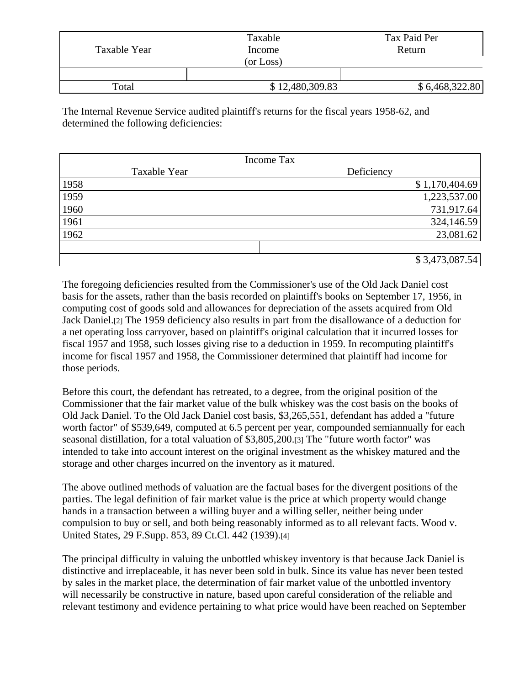| Taxable Year | Taxable<br>Income<br>(or Loss) | Tax Paid Per<br>Return |
|--------------|--------------------------------|------------------------|
|              |                                |                        |
| Total        | \$12,480,309.83                | \$6,468,322.80         |

The Internal Revenue Service audited plaintiff's returns for the fiscal years 1958-62, and determined the following deficiencies:

| <b>Income Tax</b> |              |            |                |  |
|-------------------|--------------|------------|----------------|--|
|                   | Taxable Year | Deficiency |                |  |
| 1958              |              |            | \$1,170,404.69 |  |
| 1959              |              |            | 1,223,537.00   |  |
| 1960              |              |            | 731,917.64     |  |
| 1961              |              |            | 324,146.59     |  |
| 1962              |              |            | 23,081.62      |  |
|                   |              |            |                |  |
|                   |              |            | \$3,473,087.54 |  |

The foregoing deficiencies resulted from the Commissioner's use of the Old Jack Daniel cost basis for the assets, rather than the basis recorded on plaintiff's books on September 17, 1956, in computing cost of goods sold and allowances for depreciation of the assets acquired from Old Jack Daniel.[2] The 1959 deficiency also results in part from the disallowance of a deduction for a net operating loss carryover, based on plaintiff's original calculation that it incurred losses for fiscal 1957 and 1958, such losses giving rise to a deduction in 1959. In recomputing plaintiff's income for fiscal 1957 and 1958, the Commissioner determined that plaintiff had income for those periods.

Before this court, the defendant has retreated, to a degree, from the original position of the Commissioner that the fair market value of the bulk whiskey was the cost basis on the books of Old Jack Daniel. To the Old Jack Daniel cost basis, \$3,265,551, defendant has added a "future worth factor" of \$539,649, computed at 6.5 percent per year, compounded semiannually for each seasonal distillation, for a total valuation of \$3,805,200.[3] The "future worth factor" was intended to take into account interest on the original investment as the whiskey matured and the storage and other charges incurred on the inventory as it matured.

The above outlined methods of valuation are the factual bases for the divergent positions of the parties. The legal definition of fair market value is the price at which property would change hands in a transaction between a willing buyer and a willing seller, neither being under compulsion to buy or sell, and both being reasonably informed as to all relevant facts. Wood v. United States, 29 F.Supp. 853, 89 Ct.Cl. 442 (1939).[4]

The principal difficulty in valuing the unbottled whiskey inventory is that because Jack Daniel is distinctive and irreplaceable, it has never been sold in bulk. Since its value has never been tested by sales in the market place, the determination of fair market value of the unbottled inventory will necessarily be constructive in nature, based upon careful consideration of the reliable and relevant testimony and evidence pertaining to what price would have been reached on September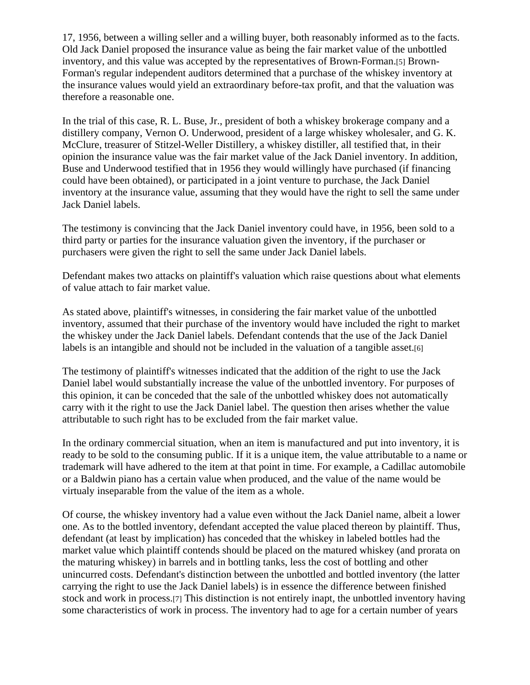17, 1956, between a willing seller and a willing buyer, both reasonably informed as to the facts. Old Jack Daniel proposed the insurance value as being the fair market value of the unbottled inventory, and this value was accepted by the representatives of Brown-Forman.[5] Brown-Forman's regular independent auditors determined that a purchase of the whiskey inventory at the insurance values would yield an extraordinary before-tax profit, and that the valuation was therefore a reasonable one.

In the trial of this case, R. L. Buse, Jr., president of both a whiskey brokerage company and a distillery company, Vernon O. Underwood, president of a large whiskey wholesaler, and G. K. McClure, treasurer of Stitzel-Weller Distillery, a whiskey distiller, all testified that, in their opinion the insurance value was the fair market value of the Jack Daniel inventory. In addition, Buse and Underwood testified that in 1956 they would willingly have purchased (if financing could have been obtained), or participated in a joint venture to purchase, the Jack Daniel inventory at the insurance value, assuming that they would have the right to sell the same under Jack Daniel labels.

The testimony is convincing that the Jack Daniel inventory could have, in 1956, been sold to a third party or parties for the insurance valuation given the inventory, if the purchaser or purchasers were given the right to sell the same under Jack Daniel labels.

Defendant makes two attacks on plaintiff's valuation which raise questions about what elements of value attach to fair market value.

As stated above, plaintiff's witnesses, in considering the fair market value of the unbottled inventory, assumed that their purchase of the inventory would have included the right to market the whiskey under the Jack Daniel labels. Defendant contends that the use of the Jack Daniel labels is an intangible and should not be included in the valuation of a tangible asset.[6]

The testimony of plaintiff's witnesses indicated that the addition of the right to use the Jack Daniel label would substantially increase the value of the unbottled inventory. For purposes of this opinion, it can be conceded that the sale of the unbottled whiskey does not automatically carry with it the right to use the Jack Daniel label. The question then arises whether the value attributable to such right has to be excluded from the fair market value.

In the ordinary commercial situation, when an item is manufactured and put into inventory, it is ready to be sold to the consuming public. If it is a unique item, the value attributable to a name or trademark will have adhered to the item at that point in time. For example, a Cadillac automobile or a Baldwin piano has a certain value when produced, and the value of the name would be virtualy inseparable from the value of the item as a whole.

Of course, the whiskey inventory had a value even without the Jack Daniel name, albeit a lower one. As to the bottled inventory, defendant accepted the value placed thereon by plaintiff. Thus, defendant (at least by implication) has conceded that the whiskey in labeled bottles had the market value which plaintiff contends should be placed on the matured whiskey (and prorata on the maturing whiskey) in barrels and in bottling tanks, less the cost of bottling and other unincurred costs. Defendant's distinction between the unbottled and bottled inventory (the latter carrying the right to use the Jack Daniel labels) is in essence the difference between finished stock and work in process.[7] This distinction is not entirely inapt, the unbottled inventory having some characteristics of work in process. The inventory had to age for a certain number of years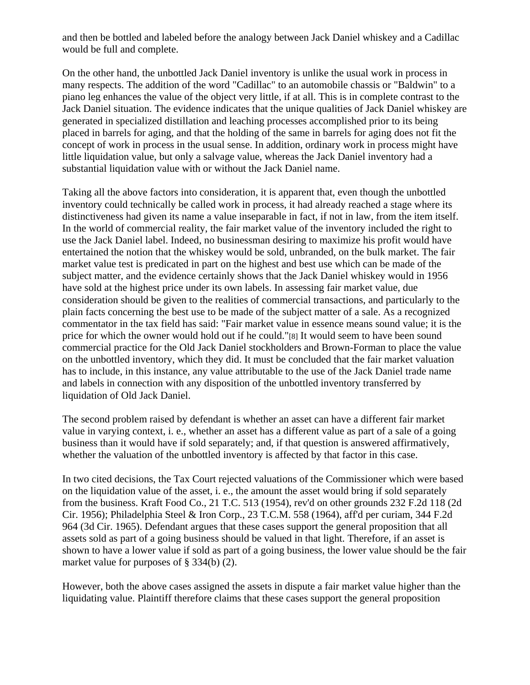and then be bottled and labeled before the analogy between Jack Daniel whiskey and a Cadillac would be full and complete.

On the other hand, the unbottled Jack Daniel inventory is unlike the usual work in process in many respects. The addition of the word "Cadillac" to an automobile chassis or "Baldwin" to a piano leg enhances the value of the object very little, if at all. This is in complete contrast to the Jack Daniel situation. The evidence indicates that the unique qualities of Jack Daniel whiskey are generated in specialized distillation and leaching processes accomplished prior to its being placed in barrels for aging, and that the holding of the same in barrels for aging does not fit the concept of work in process in the usual sense. In addition, ordinary work in process might have little liquidation value, but only a salvage value, whereas the Jack Daniel inventory had a substantial liquidation value with or without the Jack Daniel name.

Taking all the above factors into consideration, it is apparent that, even though the unbottled inventory could technically be called work in process, it had already reached a stage where its distinctiveness had given its name a value inseparable in fact, if not in law, from the item itself. In the world of commercial reality, the fair market value of the inventory included the right to use the Jack Daniel label. Indeed, no businessman desiring to maximize his profit would have entertained the notion that the whiskey would be sold, unbranded, on the bulk market. The fair market value test is predicated in part on the highest and best use which can be made of the subject matter, and the evidence certainly shows that the Jack Daniel whiskey would in 1956 have sold at the highest price under its own labels. In assessing fair market value, due consideration should be given to the realities of commercial transactions, and particularly to the plain facts concerning the best use to be made of the subject matter of a sale. As a recognized commentator in the tax field has said: "Fair market value in essence means sound value; it is the price for which the owner would hold out if he could."[8] It would seem to have been sound commercial practice for the Old Jack Daniel stockholders and Brown-Forman to place the value on the unbottled inventory, which they did. It must be concluded that the fair market valuation has to include, in this instance, any value attributable to the use of the Jack Daniel trade name and labels in connection with any disposition of the unbottled inventory transferred by liquidation of Old Jack Daniel.

The second problem raised by defendant is whether an asset can have a different fair market value in varying context, i. e., whether an asset has a different value as part of a sale of a going business than it would have if sold separately; and, if that question is answered affirmatively, whether the valuation of the unbottled inventory is affected by that factor in this case.

In two cited decisions, the Tax Court rejected valuations of the Commissioner which were based on the liquidation value of the asset, i. e., the amount the asset would bring if sold separately from the business. Kraft Food Co., 21 T.C. 513 (1954), rev'd on other grounds 232 F.2d 118 (2d Cir. 1956); Philadelphia Steel & Iron Corp., 23 T.C.M. 558 (1964), aff'd per curiam, 344 F.2d 964 (3d Cir. 1965). Defendant argues that these cases support the general proposition that all assets sold as part of a going business should be valued in that light. Therefore, if an asset is shown to have a lower value if sold as part of a going business, the lower value should be the fair market value for purposes of § 334(b) (2).

However, both the above cases assigned the assets in dispute a fair market value higher than the liquidating value. Plaintiff therefore claims that these cases support the general proposition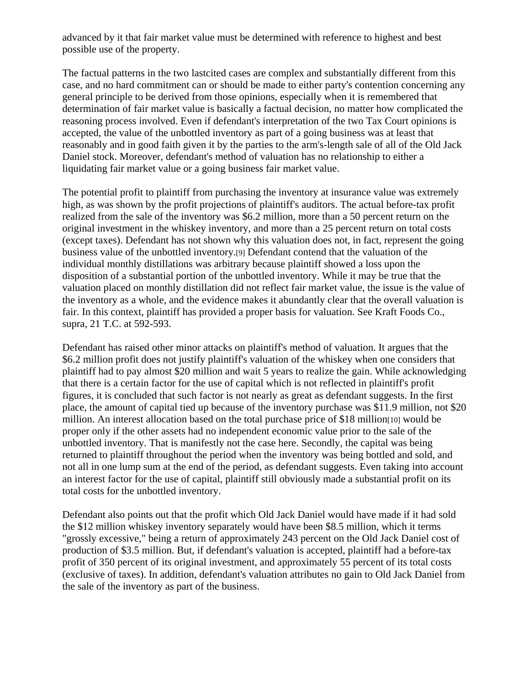advanced by it that fair market value must be determined with reference to highest and best possible use of the property.

The factual patterns in the two lastcited cases are complex and substantially different from this case, and no hard commitment can or should be made to either party's contention concerning any general principle to be derived from those opinions, especially when it is remembered that determination of fair market value is basically a factual decision, no matter how complicated the reasoning process involved. Even if defendant's interpretation of the two Tax Court opinions is accepted, the value of the unbottled inventory as part of a going business was at least that reasonably and in good faith given it by the parties to the arm's-length sale of all of the Old Jack Daniel stock. Moreover, defendant's method of valuation has no relationship to either a liquidating fair market value or a going business fair market value.

The potential profit to plaintiff from purchasing the inventory at insurance value was extremely high, as was shown by the profit projections of plaintiff's auditors. The actual before-tax profit realized from the sale of the inventory was \$6.2 million, more than a 50 percent return on the original investment in the whiskey inventory, and more than a 25 percent return on total costs (except taxes). Defendant has not shown why this valuation does not, in fact, represent the going business value of the unbottled inventory.[9] Defendant contend that the valuation of the individual monthly distillations was arbitrary because plaintiff showed a loss upon the disposition of a substantial portion of the unbottled inventory. While it may be true that the valuation placed on monthly distillation did not reflect fair market value, the issue is the value of the inventory as a whole, and the evidence makes it abundantly clear that the overall valuation is fair. In this context, plaintiff has provided a proper basis for valuation. See Kraft Foods Co., supra, 21 T.C. at 592-593.

Defendant has raised other minor attacks on plaintiff's method of valuation. It argues that the \$6.2 million profit does not justify plaintiff's valuation of the whiskey when one considers that plaintiff had to pay almost \$20 million and wait 5 years to realize the gain. While acknowledging that there is a certain factor for the use of capital which is not reflected in plaintiff's profit figures, it is concluded that such factor is not nearly as great as defendant suggests. In the first place, the amount of capital tied up because of the inventory purchase was \$11.9 million, not \$20 million. An interest allocation based on the total purchase price of \$18 million[10] would be proper only if the other assets had no independent economic value prior to the sale of the unbottled inventory. That is manifestly not the case here. Secondly, the capital was being returned to plaintiff throughout the period when the inventory was being bottled and sold, and not all in one lump sum at the end of the period, as defendant suggests. Even taking into account an interest factor for the use of capital, plaintiff still obviously made a substantial profit on its total costs for the unbottled inventory.

Defendant also points out that the profit which Old Jack Daniel would have made if it had sold the \$12 million whiskey inventory separately would have been \$8.5 million, which it terms "grossly excessive," being a return of approximately 243 percent on the Old Jack Daniel cost of production of \$3.5 million. But, if defendant's valuation is accepted, plaintiff had a before-tax profit of 350 percent of its original investment, and approximately 55 percent of its total costs (exclusive of taxes). In addition, defendant's valuation attributes no gain to Old Jack Daniel from the sale of the inventory as part of the business.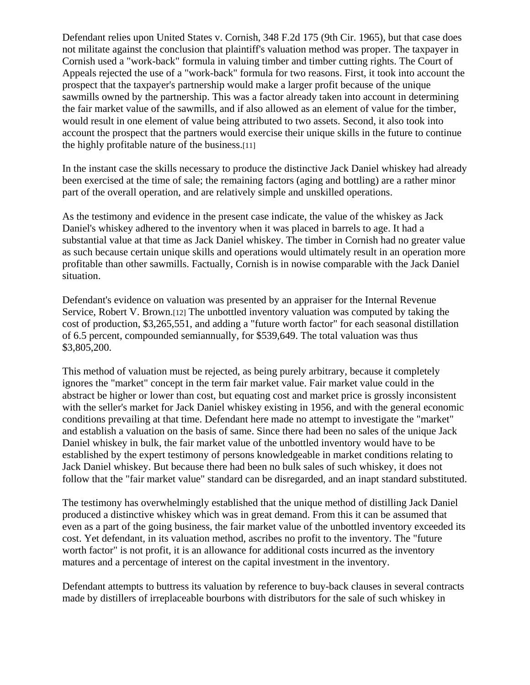Defendant relies upon United States v. Cornish, 348 F.2d 175 (9th Cir. 1965), but that case does not militate against the conclusion that plaintiff's valuation method was proper. The taxpayer in Cornish used a "work-back" formula in valuing timber and timber cutting rights. The Court of Appeals rejected the use of a "work-back" formula for two reasons. First, it took into account the prospect that the taxpayer's partnership would make a larger profit because of the unique sawmills owned by the partnership. This was a factor already taken into account in determining the fair market value of the sawmills, and if also allowed as an element of value for the timber, would result in one element of value being attributed to two assets. Second, it also took into account the prospect that the partners would exercise their unique skills in the future to continue the highly profitable nature of the business.[11]

In the instant case the skills necessary to produce the distinctive Jack Daniel whiskey had already been exercised at the time of sale; the remaining factors (aging and bottling) are a rather minor part of the overall operation, and are relatively simple and unskilled operations.

As the testimony and evidence in the present case indicate, the value of the whiskey as Jack Daniel's whiskey adhered to the inventory when it was placed in barrels to age. It had a substantial value at that time as Jack Daniel whiskey. The timber in Cornish had no greater value as such because certain unique skills and operations would ultimately result in an operation more profitable than other sawmills. Factually, Cornish is in nowise comparable with the Jack Daniel situation.

Defendant's evidence on valuation was presented by an appraiser for the Internal Revenue Service, Robert V. Brown.[12] The unbottled inventory valuation was computed by taking the cost of production, \$3,265,551, and adding a "future worth factor" for each seasonal distillation of 6.5 percent, compounded semiannually, for \$539,649. The total valuation was thus \$3,805,200.

This method of valuation must be rejected, as being purely arbitrary, because it completely ignores the "market" concept in the term fair market value. Fair market value could in the abstract be higher or lower than cost, but equating cost and market price is grossly inconsistent with the seller's market for Jack Daniel whiskey existing in 1956, and with the general economic conditions prevailing at that time. Defendant here made no attempt to investigate the "market" and establish a valuation on the basis of same. Since there had been no sales of the unique Jack Daniel whiskey in bulk, the fair market value of the unbottled inventory would have to be established by the expert testimony of persons knowledgeable in market conditions relating to Jack Daniel whiskey. But because there had been no bulk sales of such whiskey, it does not follow that the "fair market value" standard can be disregarded, and an inapt standard substituted.

The testimony has overwhelmingly established that the unique method of distilling Jack Daniel produced a distinctive whiskey which was in great demand. From this it can be assumed that even as a part of the going business, the fair market value of the unbottled inventory exceeded its cost. Yet defendant, in its valuation method, ascribes no profit to the inventory. The "future worth factor" is not profit, it is an allowance for additional costs incurred as the inventory matures and a percentage of interest on the capital investment in the inventory.

Defendant attempts to buttress its valuation by reference to buy-back clauses in several contracts made by distillers of irreplaceable bourbons with distributors for the sale of such whiskey in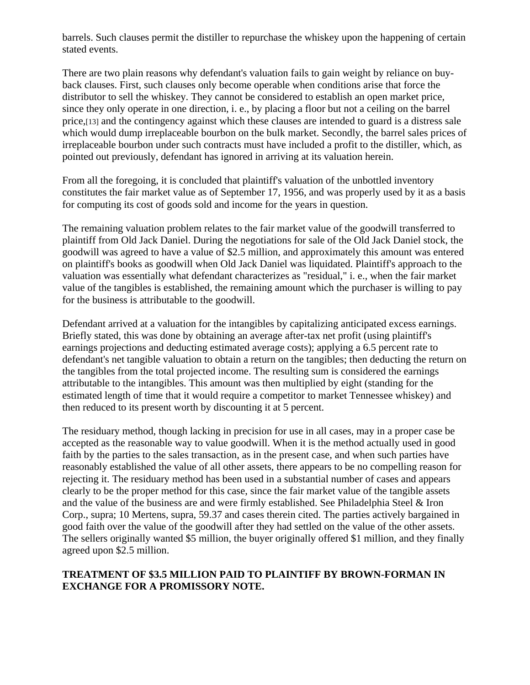barrels. Such clauses permit the distiller to repurchase the whiskey upon the happening of certain stated events.

There are two plain reasons why defendant's valuation fails to gain weight by reliance on buyback clauses. First, such clauses only become operable when conditions arise that force the distributor to sell the whiskey. They cannot be considered to establish an open market price, since they only operate in one direction, i. e., by placing a floor but not a ceiling on the barrel price,[13] and the contingency against which these clauses are intended to guard is a distress sale which would dump irreplaceable bourbon on the bulk market. Secondly, the barrel sales prices of irreplaceable bourbon under such contracts must have included a profit to the distiller, which, as pointed out previously, defendant has ignored in arriving at its valuation herein.

From all the foregoing, it is concluded that plaintiff's valuation of the unbottled inventory constitutes the fair market value as of September 17, 1956, and was properly used by it as a basis for computing its cost of goods sold and income for the years in question.

The remaining valuation problem relates to the fair market value of the goodwill transferred to plaintiff from Old Jack Daniel. During the negotiations for sale of the Old Jack Daniel stock, the goodwill was agreed to have a value of \$2.5 million, and approximately this amount was entered on plaintiff's books as goodwill when Old Jack Daniel was liquidated. Plaintiff's approach to the valuation was essentially what defendant characterizes as "residual," i. e., when the fair market value of the tangibles is established, the remaining amount which the purchaser is willing to pay for the business is attributable to the goodwill.

Defendant arrived at a valuation for the intangibles by capitalizing anticipated excess earnings. Briefly stated, this was done by obtaining an average after-tax net profit (using plaintiff's earnings projections and deducting estimated average costs); applying a 6.5 percent rate to defendant's net tangible valuation to obtain a return on the tangibles; then deducting the return on the tangibles from the total projected income. The resulting sum is considered the earnings attributable to the intangibles. This amount was then multiplied by eight (standing for the estimated length of time that it would require a competitor to market Tennessee whiskey) and then reduced to its present worth by discounting it at 5 percent.

The residuary method, though lacking in precision for use in all cases, may in a proper case be accepted as the reasonable way to value goodwill. When it is the method actually used in good faith by the parties to the sales transaction, as in the present case, and when such parties have reasonably established the value of all other assets, there appears to be no compelling reason for rejecting it. The residuary method has been used in a substantial number of cases and appears clearly to be the proper method for this case, since the fair market value of the tangible assets and the value of the business are and were firmly established. See Philadelphia Steel & Iron Corp., supra; 10 Mertens, supra, 59.37 and cases therein cited. The parties actively bargained in good faith over the value of the goodwill after they had settled on the value of the other assets. The sellers originally wanted \$5 million, the buyer originally offered \$1 million, and they finally agreed upon \$2.5 million.

## **TREATMENT OF \$3.5 MILLION PAID TO PLAINTIFF BY BROWN-FORMAN IN EXCHANGE FOR A PROMISSORY NOTE.**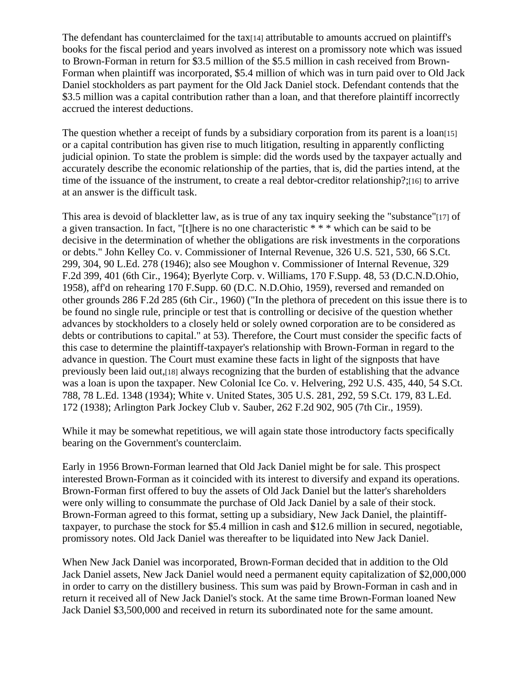The defendant has counterclaimed for the tax<sup>[14]</sup> attributable to amounts accrued on plaintiff's books for the fiscal period and years involved as interest on a promissory note which was issued to Brown-Forman in return for \$3.5 million of the \$5.5 million in cash received from Brown-Forman when plaintiff was incorporated, \$5.4 million of which was in turn paid over to Old Jack Daniel stockholders as part payment for the Old Jack Daniel stock. Defendant contends that the \$3.5 million was a capital contribution rather than a loan, and that therefore plaintiff incorrectly accrued the interest deductions.

The question whether a receipt of funds by a subsidiary corporation from its parent is a loan[15] or a capital contribution has given rise to much litigation, resulting in apparently conflicting judicial opinion. To state the problem is simple: did the words used by the taxpayer actually and accurately describe the economic relationship of the parties, that is, did the parties intend, at the time of the issuance of the instrument, to create a real debtor-creditor relationship?;[16] to arrive at an answer is the difficult task.

This area is devoid of blackletter law, as is true of any tax inquiry seeking the "substance"[17] of a given transaction. In fact, "[t]here is no one characteristic \* \* \* which can be said to be decisive in the determination of whether the obligations are risk investments in the corporations or debts." John Kelley Co. v. Commissioner of Internal Revenue, 326 U.S. 521, 530, 66 S.Ct. 299, 304, 90 L.Ed. 278 (1946); also see Moughon v. Commissioner of Internal Revenue, 329 F.2d 399, 401 (6th Cir., 1964); Byerlyte Corp. v. Williams, 170 F.Supp. 48, 53 (D.C.N.D.Ohio, 1958), aff'd on rehearing 170 F.Supp. 60 (D.C. N.D.Ohio, 1959), reversed and remanded on other grounds 286 F.2d 285 (6th Cir., 1960) ("In the plethora of precedent on this issue there is to be found no single rule, principle or test that is controlling or decisive of the question whether advances by stockholders to a closely held or solely owned corporation are to be considered as debts or contributions to capital." at 53). Therefore, the Court must consider the specific facts of this case to determine the plaintiff-taxpayer's relationship with Brown-Forman in regard to the advance in question. The Court must examine these facts in light of the signposts that have previously been laid out,[18] always recognizing that the burden of establishing that the advance was a loan is upon the taxpaper. New Colonial Ice Co. v. Helvering, 292 U.S. 435, 440, 54 S.Ct. 788, 78 L.Ed. 1348 (1934); White v. United States, 305 U.S. 281, 292, 59 S.Ct. 179, 83 L.Ed. 172 (1938); Arlington Park Jockey Club v. Sauber, 262 F.2d 902, 905 (7th Cir., 1959).

While it may be somewhat repetitious, we will again state those introductory facts specifically bearing on the Government's counterclaim.

Early in 1956 Brown-Forman learned that Old Jack Daniel might be for sale. This prospect interested Brown-Forman as it coincided with its interest to diversify and expand its operations. Brown-Forman first offered to buy the assets of Old Jack Daniel but the latter's shareholders were only willing to consummate the purchase of Old Jack Daniel by a sale of their stock. Brown-Forman agreed to this format, setting up a subsidiary, New Jack Daniel, the plaintifftaxpayer, to purchase the stock for \$5.4 million in cash and \$12.6 million in secured, negotiable, promissory notes. Old Jack Daniel was thereafter to be liquidated into New Jack Daniel.

When New Jack Daniel was incorporated, Brown-Forman decided that in addition to the Old Jack Daniel assets, New Jack Daniel would need a permanent equity capitalization of \$2,000,000 in order to carry on the distillery business. This sum was paid by Brown-Forman in cash and in return it received all of New Jack Daniel's stock. At the same time Brown-Forman loaned New Jack Daniel \$3,500,000 and received in return its subordinated note for the same amount.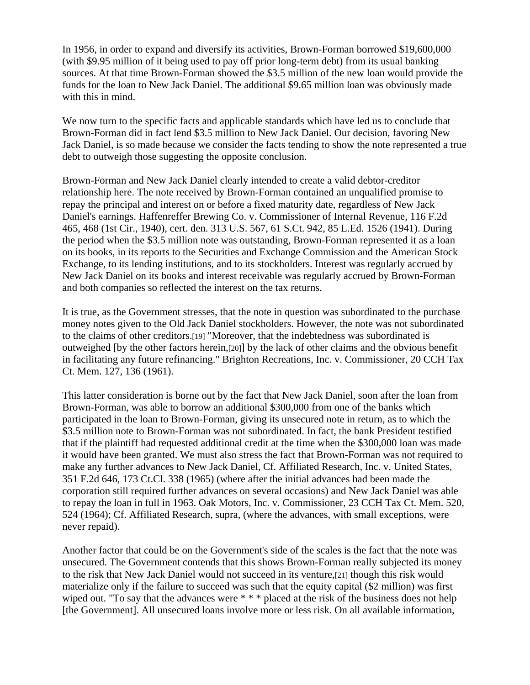In 1956, in order to expand and diversify its activities, Brown-Forman borrowed \$19,600,000 (with \$9.95 million of it being used to pay off prior long-term debt) from its usual banking sources. At that time Brown-Forman showed the \$3.5 million of the new loan would provide the funds for the loan to New Jack Daniel. The additional \$9.65 million loan was obviously made with this in mind.

We now turn to the specific facts and applicable standards which have led us to conclude that Brown-Forman did in fact lend \$3.5 million to New Jack Daniel. Our decision, favoring New Jack Daniel, is so made because we consider the facts tending to show the note represented a true debt to outweigh those suggesting the opposite conclusion.

Brown-Forman and New Jack Daniel clearly intended to create a valid debtor-creditor relationship here. The note received by Brown-Forman contained an unqualified promise to repay the principal and interest on or before a fixed maturity date, regardless of New Jack Daniel's earnings. Haffenreffer Brewing Co. v. Commissioner of Internal Revenue, 116 F.2d 465, 468 (1st Cir., 1940), cert. den. 313 U.S. 567, 61 S.Ct. 942, 85 L.Ed. 1526 (1941). During the period when the \$3.5 million note was outstanding, Brown-Forman represented it as a loan on its books, in its reports to the Securities and Exchange Commission and the American Stock Exchange, to its lending institutions, and to its stockholders. Interest was regularly accrued by New Jack Daniel on its books and interest receivable was regularly accrued by Brown-Forman and both companies so reflected the interest on the tax returns.

It is true, as the Government stresses, that the note in question was subordinated to the purchase money notes given to the Old Jack Daniel stockholders. However, the note was not subordinated to the claims of other creditors.[19] "Moreover, that the indebtedness was subordinated is outweighed [by the other factors herein,[20]] by the lack of other claims and the obvious benefit in facilitating any future refinancing." Brighton Recreations, Inc. v. Commissioner, 20 CCH Tax Ct. Mem. 127, 136 (1961).

This latter consideration is borne out by the fact that New Jack Daniel, soon after the loan from Brown-Forman, was able to borrow an additional \$300,000 from one of the banks which participated in the loan to Brown-Forman, giving its unsecured note in return, as to which the \$3.5 million note to Brown-Forman was not subordinated. In fact, the bank President testified that if the plaintiff had requested additional credit at the time when the \$300,000 loan was made it would have been granted. We must also stress the fact that Brown-Forman was not required to make any further advances to New Jack Daniel, Cf. Affiliated Research, Inc. v. United States, 351 F.2d 646, 173 Ct.Cl. 338 (1965) (where after the initial advances had been made the corporation still required further advances on several occasions) and New Jack Daniel was able to repay the loan in full in 1963. Oak Motors, Inc. v. Commissioner, 23 CCH Tax Ct. Mem. 520, 524 (1964); Cf. Affiliated Research, supra, (where the advances, with small exceptions, were never repaid).

Another factor that could be on the Government's side of the scales is the fact that the note was unsecured. The Government contends that this shows Brown-Forman really subjected its money to the risk that New Jack Daniel would not succeed in its venture,[21] though this risk would materialize only if the failure to succeed was such that the equity capital (\$2 million) was first wiped out. "To say that the advances were \* \* \* placed at the risk of the business does not help [the Government]. All unsecured loans involve more or less risk. On all available information,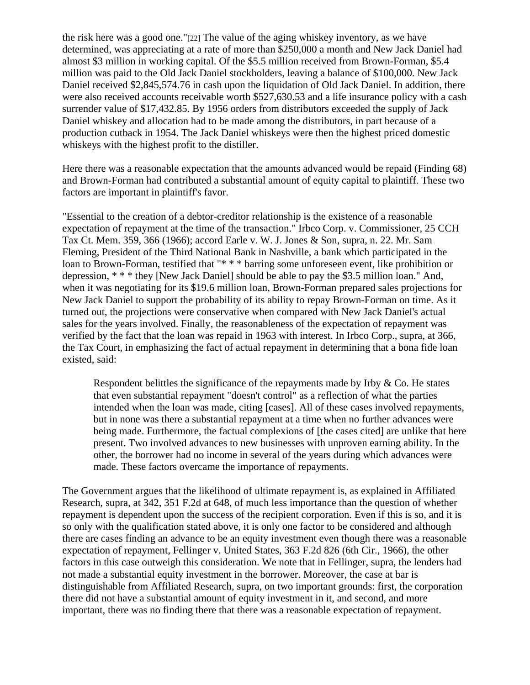the risk here was a good one."[22] The value of the aging whiskey inventory, as we have determined, was appreciating at a rate of more than \$250,000 a month and New Jack Daniel had almost \$3 million in working capital. Of the \$5.5 million received from Brown-Forman, \$5.4 million was paid to the Old Jack Daniel stockholders, leaving a balance of \$100,000. New Jack Daniel received \$2,845,574.76 in cash upon the liquidation of Old Jack Daniel. In addition, there were also received accounts receivable worth \$527,630.53 and a life insurance policy with a cash surrender value of \$17,432.85. By 1956 orders from distributors exceeded the supply of Jack Daniel whiskey and allocation had to be made among the distributors, in part because of a production cutback in 1954. The Jack Daniel whiskeys were then the highest priced domestic whiskeys with the highest profit to the distiller.

Here there was a reasonable expectation that the amounts advanced would be repaid (Finding 68) and Brown-Forman had contributed a substantial amount of equity capital to plaintiff. These two factors are important in plaintiff's favor.

"Essential to the creation of a debtor-creditor relationship is the existence of a reasonable expectation of repayment at the time of the transaction." Irbco Corp. v. Commissioner, 25 CCH Tax Ct. Mem. 359, 366 (1966); accord Earle v. W. J. Jones & Son, supra, n. 22. Mr. Sam Fleming, President of the Third National Bank in Nashville, a bank which participated in the loan to Brown-Forman, testified that "\* \* \* barring some unforeseen event, like prohibition or depression, \* \* \* they [New Jack Daniel] should be able to pay the \$3.5 million loan." And, when it was negotiating for its \$19.6 million loan, Brown-Forman prepared sales projections for New Jack Daniel to support the probability of its ability to repay Brown-Forman on time. As it turned out, the projections were conservative when compared with New Jack Daniel's actual sales for the years involved. Finally, the reasonableness of the expectation of repayment was verified by the fact that the loan was repaid in 1963 with interest. In Irbco Corp., supra, at 366, the Tax Court, in emphasizing the fact of actual repayment in determining that a bona fide loan existed, said:

Respondent belittles the significance of the repayments made by Irby  $\&$  Co. He states that even substantial repayment "doesn't control" as a reflection of what the parties intended when the loan was made, citing [cases]. All of these cases involved repayments, but in none was there a substantial repayment at a time when no further advances were being made. Furthermore, the factual complexions of [the cases cited] are unlike that here present. Two involved advances to new businesses with unproven earning ability. In the other, the borrower had no income in several of the years during which advances were made. These factors overcame the importance of repayments.

The Government argues that the likelihood of ultimate repayment is, as explained in Affiliated Research, supra, at 342, 351 F.2d at 648, of much less importance than the question of whether repayment is dependent upon the success of the recipient corporation. Even if this is so, and it is so only with the qualification stated above, it is only one factor to be considered and although there are cases finding an advance to be an equity investment even though there was a reasonable expectation of repayment, Fellinger v. United States, 363 F.2d 826 (6th Cir., 1966), the other factors in this case outweigh this consideration. We note that in Fellinger, supra, the lenders had not made a substantial equity investment in the borrower. Moreover, the case at bar is distinguishable from Affiliated Research, supra, on two important grounds: first, the corporation there did not have a substantial amount of equity investment in it, and second, and more important, there was no finding there that there was a reasonable expectation of repayment.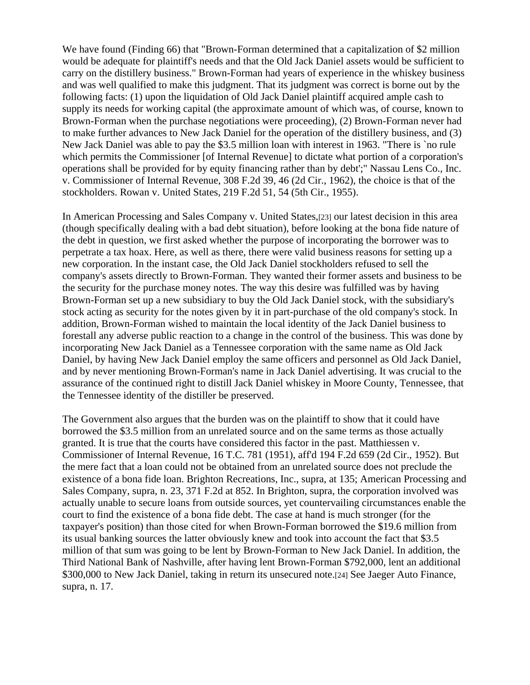We have found (Finding 66) that "Brown-Forman determined that a capitalization of \$2 million would be adequate for plaintiff's needs and that the Old Jack Daniel assets would be sufficient to carry on the distillery business." Brown-Forman had years of experience in the whiskey business and was well qualified to make this judgment. That its judgment was correct is borne out by the following facts: (1) upon the liquidation of Old Jack Daniel plaintiff acquired ample cash to supply its needs for working capital (the approximate amount of which was, of course, known to Brown-Forman when the purchase negotiations were proceeding), (2) Brown-Forman never had to make further advances to New Jack Daniel for the operation of the distillery business, and (3) New Jack Daniel was able to pay the \$3.5 million loan with interest in 1963. "There is `no rule which permits the Commissioner [of Internal Revenue] to dictate what portion of a corporation's operations shall be provided for by equity financing rather than by debt';" Nassau Lens Co., Inc. v. Commissioner of Internal Revenue, 308 F.2d 39, 46 (2d Cir., 1962), the choice is that of the stockholders. Rowan v. United States, 219 F.2d 51, 54 (5th Cir., 1955).

In American Processing and Sales Company v. United States,[23] our latest decision in this area (though specifically dealing with a bad debt situation), before looking at the bona fide nature of the debt in question, we first asked whether the purpose of incorporating the borrower was to perpetrate a tax hoax. Here, as well as there, there were valid business reasons for setting up a new corporation. In the instant case, the Old Jack Daniel stockholders refused to sell the company's assets directly to Brown-Forman. They wanted their former assets and business to be the security for the purchase money notes. The way this desire was fulfilled was by having Brown-Forman set up a new subsidiary to buy the Old Jack Daniel stock, with the subsidiary's stock acting as security for the notes given by it in part-purchase of the old company's stock. In addition, Brown-Forman wished to maintain the local identity of the Jack Daniel business to forestall any adverse public reaction to a change in the control of the business. This was done by incorporating New Jack Daniel as a Tennessee corporation with the same name as Old Jack Daniel, by having New Jack Daniel employ the same officers and personnel as Old Jack Daniel, and by never mentioning Brown-Forman's name in Jack Daniel advertising. It was crucial to the assurance of the continued right to distill Jack Daniel whiskey in Moore County, Tennessee, that the Tennessee identity of the distiller be preserved.

The Government also argues that the burden was on the plaintiff to show that it could have borrowed the \$3.5 million from an unrelated source and on the same terms as those actually granted. It is true that the courts have considered this factor in the past. Matthiessen v. Commissioner of Internal Revenue, 16 T.C. 781 (1951), aff'd 194 F.2d 659 (2d Cir., 1952). But the mere fact that a loan could not be obtained from an unrelated source does not preclude the existence of a bona fide loan. Brighton Recreations, Inc., supra, at 135; American Processing and Sales Company, supra, n. 23, 371 F.2d at 852. In Brighton, supra, the corporation involved was actually unable to secure loans from outside sources, yet countervailing circumstances enable the court to find the existence of a bona fide debt. The case at hand is much stronger (for the taxpayer's position) than those cited for when Brown-Forman borrowed the \$19.6 million from its usual banking sources the latter obviously knew and took into account the fact that \$3.5 million of that sum was going to be lent by Brown-Forman to New Jack Daniel. In addition, the Third National Bank of Nashville, after having lent Brown-Forman \$792,000, lent an additional \$300,000 to New Jack Daniel, taking in return its unsecured note.[24] See Jaeger Auto Finance, supra, n. 17.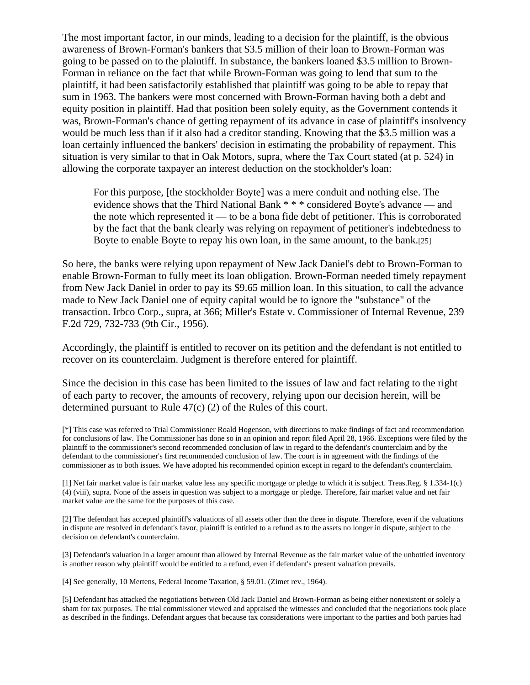The most important factor, in our minds, leading to a decision for the plaintiff, is the obvious awareness of Brown-Forman's bankers that \$3.5 million of their loan to Brown-Forman was going to be passed on to the plaintiff. In substance, the bankers loaned \$3.5 million to Brown-Forman in reliance on the fact that while Brown-Forman was going to lend that sum to the plaintiff, it had been satisfactorily established that plaintiff was going to be able to repay that sum in 1963. The bankers were most concerned with Brown-Forman having both a debt and equity position in plaintiff. Had that position been solely equity, as the Government contends it was, Brown-Forman's chance of getting repayment of its advance in case of plaintiff's insolvency would be much less than if it also had a creditor standing. Knowing that the \$3.5 million was a loan certainly influenced the bankers' decision in estimating the probability of repayment. This situation is very similar to that in Oak Motors, supra, where the Tax Court stated (at p. 524) in allowing the corporate taxpayer an interest deduction on the stockholder's loan:

For this purpose, [the stockholder Boyte] was a mere conduit and nothing else. The evidence shows that the Third National Bank \* \* \* considered Boyte's advance — and the note which represented it — to be a bona fide debt of petitioner. This is corroborated by the fact that the bank clearly was relying on repayment of petitioner's indebtedness to Boyte to enable Boyte to repay his own loan, in the same amount, to the bank.[25]

So here, the banks were relying upon repayment of New Jack Daniel's debt to Brown-Forman to enable Brown-Forman to fully meet its loan obligation. Brown-Forman needed timely repayment from New Jack Daniel in order to pay its \$9.65 million loan. In this situation, to call the advance made to New Jack Daniel one of equity capital would be to ignore the "substance" of the transaction. Irbco Corp., supra, at 366; Miller's Estate v. Commissioner of Internal Revenue, 239 F.2d 729, 732-733 (9th Cir., 1956).

Accordingly, the plaintiff is entitled to recover on its petition and the defendant is not entitled to recover on its counterclaim. Judgment is therefore entered for plaintiff.

Since the decision in this case has been limited to the issues of law and fact relating to the right of each party to recover, the amounts of recovery, relying upon our decision herein, will be determined pursuant to Rule 47(c) (2) of the Rules of this court.

[\*] This case was referred to Trial Commissioner Roald Hogenson, with directions to make findings of fact and recommendation for conclusions of law. The Commissioner has done so in an opinion and report filed April 28, 1966. Exceptions were filed by the plaintiff to the commissioner's second recommended conclusion of law in regard to the defendant's counterclaim and by the defendant to the commissioner's first recommended conclusion of law. The court is in agreement with the findings of the commissioner as to both issues. We have adopted his recommended opinion except in regard to the defendant's counterclaim.

[1] Net fair market value is fair market value less any specific mortgage or pledge to which it is subject. Treas.Reg. § 1.334-1(c) (4) (viii), supra. None of the assets in question was subject to a mortgage or pledge. Therefore, fair market value and net fair market value are the same for the purposes of this case.

[2] The defendant has accepted plaintiff's valuations of all assets other than the three in dispute. Therefore, even if the valuations in dispute are resolved in defendant's favor, plaintiff is entitled to a refund as to the assets no longer in dispute, subject to the decision on defendant's counterclaim.

[3] Defendant's valuation in a larger amount than allowed by Internal Revenue as the fair market value of the unbottled inventory is another reason why plaintiff would be entitled to a refund, even if defendant's present valuation prevails.

[4] See generally, 10 Mertens, Federal Income Taxation, § 59.01. (Zimet rev., 1964).

[5] Defendant has attacked the negotiations between Old Jack Daniel and Brown-Forman as being either nonexistent or solely a sham for tax purposes. The trial commissioner viewed and appraised the witnesses and concluded that the negotiations took place as described in the findings. Defendant argues that because tax considerations were important to the parties and both parties had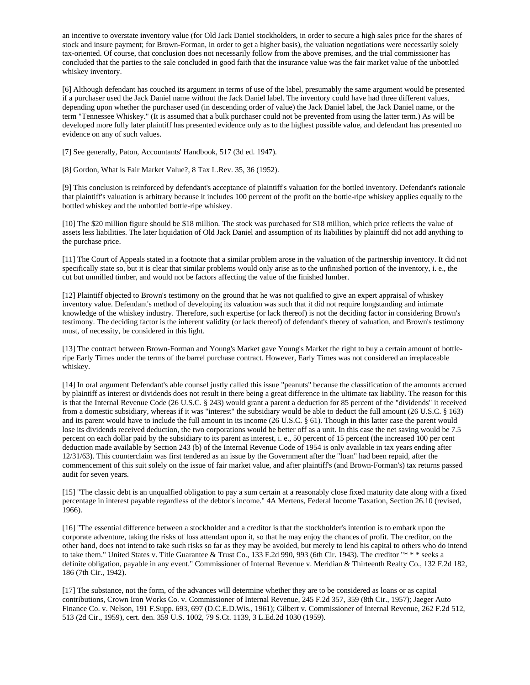an incentive to overstate inventory value (for Old Jack Daniel stockholders, in order to secure a high sales price for the shares of stock and insure payment; for Brown-Forman, in order to get a higher basis), the valuation negotiations were necessarily solely tax-oriented. Of course, that conclusion does not necessarily follow from the above premises, and the trial commissioner has concluded that the parties to the sale concluded in good faith that the insurance value was the fair market value of the unbottled whiskey inventory.

[6] Although defendant has couched its argument in terms of use of the label, presumably the same argument would be presented if a purchaser used the Jack Daniel name without the Jack Daniel label. The inventory could have had three different values, depending upon whether the purchaser used (in descending order of value) the Jack Daniel label, the Jack Daniel name, or the term "Tennessee Whiskey." (It is assumed that a bulk purchaser could not be prevented from using the latter term.) As will be developed more fully later plaintiff has presented evidence only as to the highest possible value, and defendant has presented no evidence on any of such values.

[7] See generally, Paton, Accountants' Handbook, 517 (3d ed. 1947).

[8] Gordon, What is Fair Market Value?, 8 Tax L.Rev. 35, 36 (1952).

[9] This conclusion is reinforced by defendant's acceptance of plaintiff's valuation for the bottled inventory. Defendant's rationale that plaintiff's valuation is arbitrary because it includes 100 percent of the profit on the bottle-ripe whiskey applies equally to the bottled whiskey and the unbottled bottle-ripe whiskey.

[10] The \$20 million figure should be \$18 million. The stock was purchased for \$18 million, which price reflects the value of assets less liabilities. The later liquidation of Old Jack Daniel and assumption of its liabilities by plaintiff did not add anything to the purchase price.

[11] The Court of Appeals stated in a footnote that a similar problem arose in the valuation of the partnership inventory. It did not specifically state so, but it is clear that similar problems would only arise as to the unfinished portion of the inventory, i. e., the cut but unmilled timber, and would not be factors affecting the value of the finished lumber.

[12] Plaintiff objected to Brown's testimony on the ground that he was not qualified to give an expert appraisal of whiskey inventory value. Defendant's method of developing its valuation was such that it did not require longstanding and intimate knowledge of the whiskey industry. Therefore, such expertise (or lack thereof) is not the deciding factor in considering Brown's testimony. The deciding factor is the inherent validity (or lack thereof) of defendant's theory of valuation, and Brown's testimony must, of necessity, be considered in this light.

[13] The contract between Brown-Forman and Young's Market gave Young's Market the right to buy a certain amount of bottleripe Early Times under the terms of the barrel purchase contract. However, Early Times was not considered an irreplaceable whiskey.

[14] In oral argument Defendant's able counsel justly called this issue "peanuts" because the classification of the amounts accrued by plaintiff as interest or dividends does not result in there being a great difference in the ultimate tax liability. The reason for this is that the Internal Revenue Code (26 U.S.C. § 243) would grant a parent a deduction for 85 percent of the "dividends" it received from a domestic subsidiary, whereas if it was "interest" the subsidiary would be able to deduct the full amount (26 U.S.C. § 163) and its parent would have to include the full amount in its income (26 U.S.C. § 61). Though in this latter case the parent would lose its dividends received deduction, the two corporations would be better off as a unit. In this case the net saving would be 7.5 percent on each dollar paid by the subsidiary to its parent as interest, i. e., 50 percent of 15 percent (the increased 100 per cent deduction made available by Section 243 (b) of the Internal Revenue Code of 1954 is only available in tax years ending after 12/31/63). This counterclaim was first tendered as an issue by the Government after the "loan" had been repaid, after the commencement of this suit solely on the issue of fair market value, and after plaintiff's (and Brown-Forman's) tax returns passed audit for seven years.

[15] "The classic debt is an unqualfied obligation to pay a sum certain at a reasonably close fixed maturity date along with a fixed percentage in interest payable regardless of the debtor's income." 4A Mertens, Federal Income Taxation, Section 26.10 (revised, 1966).

[16] "The essential difference between a stockholder and a creditor is that the stockholder's intention is to embark upon the corporate adventure, taking the risks of loss attendant upon it, so that he may enjoy the chances of profit. The creditor, on the other hand, does not intend to take such risks so far as they may be avoided, but merely to lend his capital to others who do intend to take them." United States v. Title Guarantee & Trust Co., 133 F.2d 990, 993 (6th Cir. 1943). The creditor "\* \* \* seeks a definite obligation, payable in any event." Commissioner of Internal Revenue v. Meridian & Thirteenth Realty Co., 132 F.2d 182, 186 (7th Cir., 1942).

[17] The substance, not the form, of the advances will determine whether they are to be considered as loans or as capital contributions, Crown Iron Works Co. v. Commissioner of Internal Revenue, 245 F.2d 357, 359 (8th Cir., 1957); Jaeger Auto Finance Co. v. Nelson, 191 F.Supp. 693, 697 (D.C.E.D.Wis., 1961); Gilbert v. Commissioner of Internal Revenue, 262 F.2d 512, 513 (2d Cir., 1959), cert. den. 359 U.S. 1002, 79 S.Ct. 1139, 3 L.Ed.2d 1030 (1959).